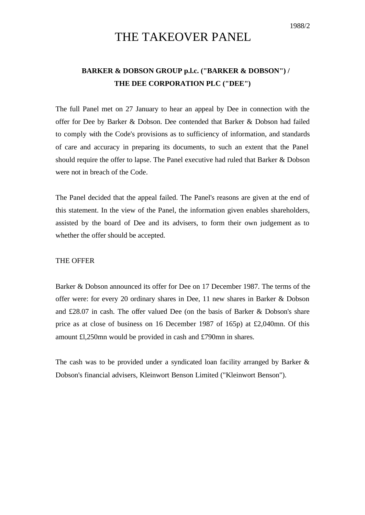# THE TAKEOVER PANEL

## **BARKER & DOBSON GROUP p.l.c. ("BARKER & DOBSON") / THE DEE CORPORATION PLC ("DEE")**

The full Panel met on 27 January to hear an appeal by Dee in connection with the offer for Dee by Barker & Dobson. Dee contended that Barker & Dobson had failed to comply with the Code's provisions as to sufficiency of information, and standards of care and accuracy in preparing its documents, to such an extent that the Panel should require the offer to lapse. The Panel executive had ruled that Barker & Dobson were not in breach of the Code.

The Panel decided that the appeal failed. The Panel's reasons are given at the end of this statement. In the view of the Panel, the information given enables shareholders, assisted by the board of Dee and its advisers, to form their own judgement as to whether the offer should be accepted.

#### THE OFFER

Barker & Dobson announced its offer for Dee on 17 December 1987. The terms of the offer were: for every 20 ordinary shares in Dee, 11 new shares in Barker & Dobson and £28.07 in cash. The offer valued Dee (on the basis of Barker & Dobson's share price as at close of business on 16 December 1987 of 165p) at £2,040mn. Of this amount £l,250mn would be provided in cash and £790mn in shares.

The cash was to be provided under a syndicated loan facility arranged by Barker & Dobson's financial advisers, Kleinwort Benson Limited ("Kleinwort Benson").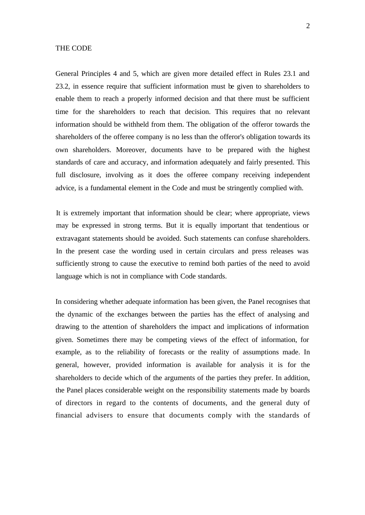#### THE CODE

General Principles 4 and 5, which are given more detailed effect in Rules 23.1 and 23.2, in essence require that sufficient information must be given to shareholders to enable them to reach a properly informed decision and that there must be sufficient time for the shareholders to reach that decision. This requires that no relevant information should be withheld from them. The obligation of the offeror towards the shareholders of the offeree company is no less than the offeror's obligation towards its own shareholders. Moreover, documents have to be prepared with the highest standards of care and accuracy, and information adequately and fairly presented. This full disclosure, involving as it does the offeree company receiving independent advice, is a fundamental element in the Code and must be stringently complied with.

It is extremely important that information should be clear; where appropriate, views may be expressed in strong terms. But it is equally important that tendentious or extravagant statements should be avoided. Such statements can confuse shareholders. In the present case the wording used in certain circulars and press releases was sufficiently strong to cause the executive to remind both parties of the need to avoid language which is not in compliance with Code standards.

In considering whether adequate information has been given, the Panel recognises that the dynamic of the exchanges between the parties has the effect of analysing and drawing to the attention of shareholders the impact and implications of information given. Sometimes there may be competing views of the effect of information, for example, as to the reliability of forecasts or the reality of assumptions made. In general, however, provided information is available for analysis it is for the shareholders to decide which of the arguments of the parties they prefer. In addition, the Panel places considerable weight on the responsibility statements made by boards of directors in regard to the contents of documents, and the general duty of financial advisers to ensure that documents comply with the standards of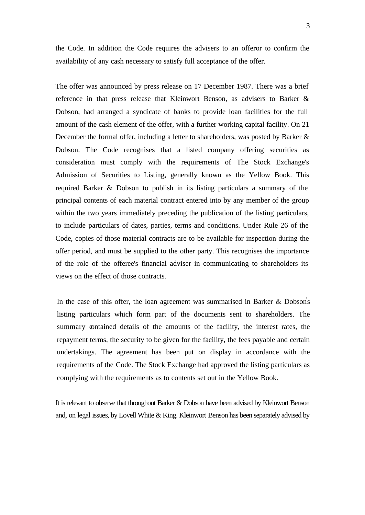the Code. In addition the Code requires the advisers to an offeror to confirm the availability of any cash necessary to satisfy full acceptance of the offer.

The offer was announced by press release on 17 December 1987. There was a brief reference in that press release that Kleinwort Benson, as advisers to Barker & Dobson, had arranged a syndicate of banks to provide loan facilities for the full amount of the cash element of the offer, with a further working capital facility. On 21 December the formal offer, including a letter to shareholders, was posted by Barker & Dobson. The Code recognises that a listed company offering securities as consideration must comply with the requirements of The Stock Exchange's Admission of Securities to Listing, generally known as the Yellow Book. This required Barker & Dobson to publish in its listing particulars a summary of the principal contents of each material contract entered into by any member of the group within the two years immediately preceding the publication of the listing particulars, to include particulars of dates, parties, terms and conditions. Under Rule 26 of the Code, copies of those material contracts are to be available for inspection during the offer period, and must be supplied to the other party. This recognises the importance of the role of the offeree's financial adviser in communicating to shareholders its views on the effect of those contracts.

In the case of this offer, the loan agreement was summarised in Barker  $\&$  Dobson's listing particulars which form part of the documents sent to shareholders. The summary contained details of the amounts of the facility, the interest rates, the repayment terms, the security to be given for the facility, the fees payable and certain undertakings. The agreement has been put on display in accordance with the requirements of the Code. The Stock Exchange had approved the listing particulars as complying with the requirements as to contents set out in the Yellow Book.

It is relevant to observe that throughout Barker & Dobson have been advised by Kleinwort Benson and, on legal issues, by Lovell White & King. Kleinwort Benson has been separately advised by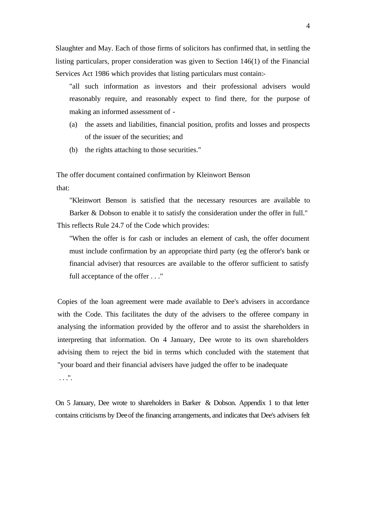Slaughter and May. Each of those firms of solicitors has confirmed that, in settling the listing particulars, proper consideration was given to Section 146(1) of the Financial Services Act 1986 which provides that listing particulars must contain:-

"all such information as investors and their professional advisers would reasonably require, and reasonably expect to find there, for the purpose of making an informed assessment of -

- (a) the assets and liabilities, financial position, profits and losses and prospects of the issuer of the securities; and
- (b) the rights attaching to those securities."

The offer document contained confirmation by Kleinwort Benson that:

"Kleinwort Benson is satisfied that the necessary resources are available to Barker & Dobson to enable it to satisfy the consideration under the offer in full." This reflects Rule 24.7 of the Code which provides:

"When the offer is for cash or includes an element of cash, the offer document must include confirmation by an appropriate third party (eg the offeror's bank or financial adviser) that resources are available to the offeror sufficient to satisfy full acceptance of the offer . . ."

Copies of the loan agreement were made available to Dee's advisers in accordance with the Code. This facilitates the duty of the advisers to the offeree company in analysing the information provided by the offeror and to assist the shareholders in interpreting that information. On 4 January, Dee wrote to its own shareholders advising them to reject the bid in terms which concluded with the statement that "your board and their financial advisers have judged the offer to be inadequate . . .".

On 5 January, Dee wrote to shareholders in Barker & Dobson. Appendix 1 to that letter contains criticisms by Deeof the financing arrangements, and indicates that Dee's advisers felt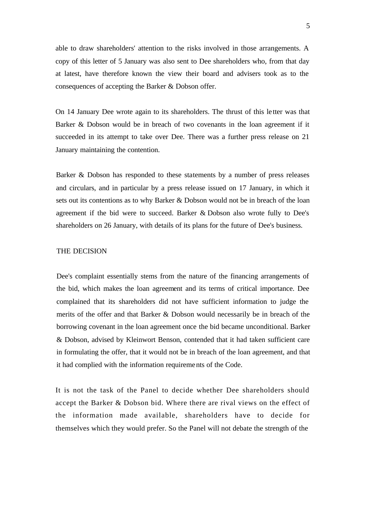able to draw shareholders' attention to the risks involved in those arrangements. A copy of this letter of 5 January was also sent to Dee shareholders who, from that day at latest, have therefore known the view their board and advisers took as to the consequences of accepting the Barker & Dobson offer.

On 14 January Dee wrote again to its shareholders. The thrust of this le tter was that Barker & Dobson would be in breach of two covenants in the loan agreement if it succeeded in its attempt to take over Dee. There was a further press release on 21 January maintaining the contention.

Barker & Dobson has responded to these statements by a number of press releases and circulars, and in particular by a press release issued on 17 January, in which it sets out its contentions as to why Barker & Dobson would not be in breach of the loan agreement if the bid were to succeed. Barker & Dobson also wrote fully to Dee's shareholders on 26 January, with details of its plans for the future of Dee's business.

### THE DECISION

Dee's complaint essentially stems from the nature of the financing arrangements of the bid, which makes the loan agreement and its terms of critical importance. Dee complained that its shareholders did not have sufficient information to judge the merits of the offer and that Barker & Dobson would necessarily be in breach of the borrowing covenant in the loan agreement once the bid became unconditional. Barker & Dobson, advised by Kleinwort Benson, contended that it had taken sufficient care in formulating the offer, that it would not be in breach of the loan agreement, and that it had complied with the information requirements of the Code.

It is not the task of the Panel to decide whether Dee shareholders should accept the Barker & Dobson bid. Where there are rival views on the effect of the information made available, shareholders have to decide for themselves which they would prefer. So the Panel will not debate the strength of the